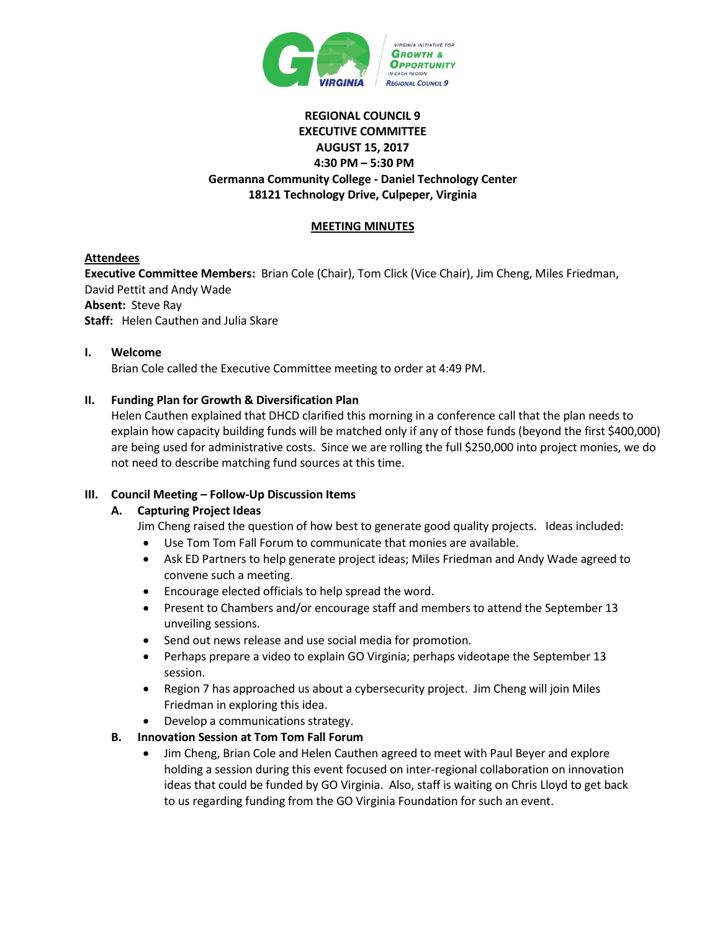

# **REGIONAL COUNCIL 9 EXECUTIVE COMMITTEE AUGUST 15, 2017 4:30 PM – 5:30 PM Germanna Community College - Daniel Technology Center 18121 Technology Drive, Culpeper, Virginia**

# **MEETING MINUTES**

## **Attendees**

**Executive Committee Members:** Brian Cole (Chair), Tom Click (Vice Chair), Jim Cheng, Miles Friedman, David Pettit and Andy Wade **Absent:** Steve Ray **Staff:** Helen Cauthen and Julia Skare

#### **I. Welcome**

Brian Cole called the Executive Committee meeting to order at 4:49 PM.

#### **II. Funding Plan for Growth & Diversification Plan**

Helen Cauthen explained that DHCD clarified this morning in a conference call that the plan needs to explain how capacity building funds will be matched only if any of those funds (beyond the first \$400,000) are being used for administrative costs. Since we are rolling the full \$250,000 into project monies, we do not need to describe matching fund sources at this time.

#### **III. Council Meeting – Follow-Up Discussion Items**

#### **A. Capturing Project Ideas**

Jim Cheng raised the question of how best to generate good quality projects. Ideas included:

- Use Tom Tom Fall Forum to communicate that monies are available.
- Ask ED Partners to help generate project ideas; Miles Friedman and Andy Wade agreed to convene such a meeting.
- Encourage elected officials to help spread the word.
- Present to Chambers and/or encourage staff and members to attend the September 13 unveiling sessions.
- Send out news release and use social media for promotion.
- Perhaps prepare a video to explain GO Virginia; perhaps videotape the September 13 session.
- Region 7 has approached us about a cybersecurity project. Jim Cheng will join Miles Friedman in exploring this idea.
- Develop a communications strategy.

#### **B. Innovation Session at Tom Tom Fall Forum**

 Jim Cheng, Brian Cole and Helen Cauthen agreed to meet with Paul Beyer and explore holding a session during this event focused on inter-regional collaboration on innovation ideas that could be funded by GO Virginia. Also, staff is waiting on Chris Lloyd to get back to us regarding funding from the GO Virginia Foundation for such an event.